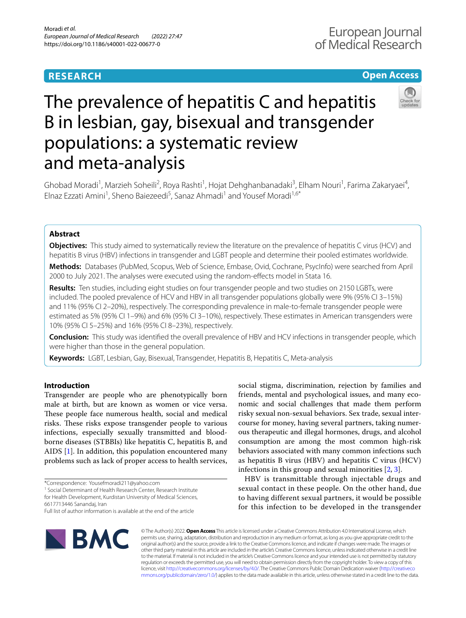# **RESEARCH**

# **Open Access**

# The prevalence of hepatitis C and hepatitis B in lesbian, gay, bisexual and transgender populations: a systematic review and meta-analysis



Elnaz Ezzati Amini<sup>1</sup>, Sheno Baiezeedi<sup>5</sup>, Sanaz Ahmadi<sup>1</sup> and Yousef Moradi<sup>1,6\*</sup>

# **Abstract**

**Objectives:** This study aimed to systematically review the literature on the prevalence of hepatitis C virus (HCV) and hepatitis B virus (HBV) infections in transgender and LGBT people and determine their pooled estimates worldwide.

**Methods:** Databases (PubMed, Scopus, Web of Science, Embase, Ovid, Cochrane, PsycInfo) were searched from April 2000 to July 2021. The analyses were executed using the random-efects model in Stata 16.

**Results:** Ten studies, including eight studies on four transgender people and two studies on 2150 LGBTs, were included. The pooled prevalence of HCV and HBV in all transgender populations globally were 9% (95% CI 3–15%) and 11% (95% CI 2–20%), respectively. The corresponding prevalence in male-to-female transgender people were estimated as 5% (95% CI 1–9%) and 6% (95% CI 3–10%), respectively. These estimates in American transgenders were 10% (95% CI 5–25%) and 16% (95% CI 8–23%), respectively.

**Conclusion:** This study was identifed the overall prevalence of HBV and HCV infections in transgender people, which were higher than those in the general population.

**Keywords:** LGBT, Lesbian, Gay, Bisexual, Transgender, Hepatitis B, Hepatitis C, Meta-analysis

# **Introduction**

Transgender are people who are phenotypically born male at birth, but are known as women or vice versa. These people face numerous health, social and medical risks. These risks expose transgender people to various infections, especially sexually transmitted and bloodborne diseases (STBBIs) like hepatitis C, hepatitis B, and AIDS [\[1](#page-10-0)]. In addition, this population encountered many problems such as lack of proper access to health services,

\*Correspondence: Yousefmoradi211@yahoo.com

<sup>1</sup> Social Determinant of Health Research Center, Research Institute for Health Development, Kurdistan University of Medical Sciences,

6617713446 Sanandaj, Iran

social stigma, discrimination, rejection by families and friends, mental and psychological issues, and many economic and social challenges that made them perform risky sexual non-sexual behaviors. Sex trade, sexual intercourse for money, having several partners, taking numerous therapeutic and illegal hormones, drugs, and alcohol consumption are among the most common high-risk behaviors associated with many common infections such as hepatitis B virus (HBV) and hepatitis C virus (HCV) infections in this group and sexual minorities [\[2](#page-10-1), [3\]](#page-10-2).

HBV is transmittable through injectable drugs and sexual contact in these people. On the other hand, due to having different sexual partners, it would be possible for this infection to be developed in the transgender



© The Author(s) 2022. **Open Access** This article is licensed under a Creative Commons Attribution 4.0 International License, which permits use, sharing, adaptation, distribution and reproduction in any medium or format, as long as you give appropriate credit to the original author(s) and the source, provide a link to the Creative Commons licence, and indicate if changes were made. The images or other third party material in this article are included in the article's Creative Commons licence, unless indicated otherwise in a credit line to the material. If material is not included in the article's Creative Commons licence and your intended use is not permitted by statutory regulation or exceeds the permitted use, you will need to obtain permission directly from the copyright holder. To view a copy of this licence, visit [http://creativecommons.org/licenses/by/4.0/.](http://creativecommons.org/licenses/by/4.0/) The Creative Commons Public Domain Dedication waiver ([http://creativeco](http://creativecommons.org/publicdomain/zero/1.0/) [mmons.org/publicdomain/zero/1.0/](http://creativecommons.org/publicdomain/zero/1.0/)) applies to the data made available in this article, unless otherwise stated in a credit line to the data.

Full list of author information is available at the end of the article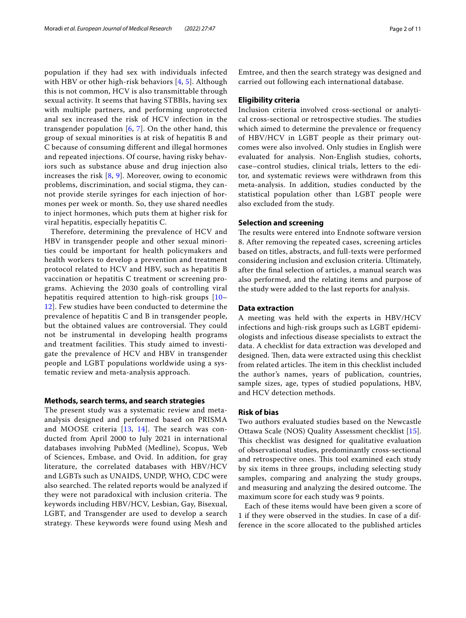population if they had sex with individuals infected with HBV or other high-risk behaviors [[4](#page-10-3), [5](#page-10-4)]. Although this is not common, HCV is also transmittable through sexual activity. It seems that having STBBIs, having sex with multiple partners, and performing unprotected anal sex increased the risk of HCV infection in the transgender population  $[6, 7]$  $[6, 7]$  $[6, 7]$  $[6, 7]$ . On the other hand, this group of sexual minorities is at risk of hepatitis B and C because of consuming different and illegal hormones and repeated injections. Of course, having risky behaviors such as substance abuse and drug injection also increases the risk  $[8, 9]$  $[8, 9]$  $[8, 9]$  $[8, 9]$  $[8, 9]$ . Moreover, owing to economic problems, discrimination, and social stigma, they cannot provide sterile syringes for each injection of hormones per week or month. So, they use shared needles to inject hormones, which puts them at higher risk for viral hepatitis, especially hepatitis C.

Therefore, determining the prevalence of HCV and HBV in transgender people and other sexual minorities could be important for health policymakers and health workers to develop a prevention and treatment protocol related to HCV and HBV, such as hepatitis B vaccination or hepatitis C treatment or screening programs. Achieving the 2030 goals of controlling viral hepatitis required attention to high-risk groups [\[10–](#page-10-9) [12\]](#page-10-10). Few studies have been conducted to determine the prevalence of hepatitis C and B in transgender people, but the obtained values are controversial. They could not be instrumental in developing health programs and treatment facilities. This study aimed to investigate the prevalence of HCV and HBV in transgender people and LGBT populations worldwide using a systematic review and meta-analysis approach.

#### **Methods, search terms, and search strategies**

The present study was a systematic review and metaanalysis designed and performed based on PRISMA and MOOSE criteria [[13](#page-10-11), [14\]](#page-10-12). The search was conducted from April 2000 to July 2021 in international databases involving PubMed (Medline), Scopus, Web of Sciences, Embase, and Ovid. In addition, for gray literature, the correlated databases with HBV/HCV and LGBTs such as UNAIDS, UNDP, WHO, CDC were also searched. The related reports would be analyzed if they were not paradoxical with inclusion criteria. The keywords including HBV/HCV, Lesbian, Gay, Bisexual, LGBT, and Transgender are used to develop a search strategy. These keywords were found using Mesh and Emtree, and then the search strategy was designed and carried out following each international database.

# **Eligibility criteria**

Inclusion criteria involved cross-sectional or analytical cross-sectional or retrospective studies. The studies which aimed to determine the prevalence or frequency of HBV/HCV in LGBT people as their primary outcomes were also involved. Only studies in English were evaluated for analysis. Non-English studies, cohorts, case–control studies, clinical trials, letters to the editor, and systematic reviews were withdrawn from this meta-analysis. In addition, studies conducted by the statistical population other than LGBT people were also excluded from the study.

# **Selection and screening**

The results were entered into Endnote software version 8. After removing the repeated cases, screening articles based on titles, abstracts, and full-texts were performed considering inclusion and exclusion criteria. Ultimately, after the fnal selection of articles, a manual search was also performed, and the relating items and purpose of the study were added to the last reports for analysis.

### **Data extraction**

A meeting was held with the experts in HBV/HCV infections and high-risk groups such as LGBT epidemiologists and infectious disease specialists to extract the data. A checklist for data extraction was developed and designed. Then, data were extracted using this checklist from related articles. The item in this checklist included the author's names, years of publication, countries, sample sizes, age, types of studied populations, HBV, and HCV detection methods.

# **Risk of bias**

Two authors evaluated studies based on the Newcastle Ottawa Scale (NOS) Quality Assessment checklist [[15](#page-10-13)]. This checklist was designed for qualitative evaluation of observational studies, predominantly cross-sectional and retrospective ones. This tool examined each study by six items in three groups, including selecting study samples, comparing and analyzing the study groups, and measuring and analyzing the desired outcome. The maximum score for each study was 9 points.

Each of these items would have been given a score of 1 if they were observed in the studies. In case of a difference in the score allocated to the published articles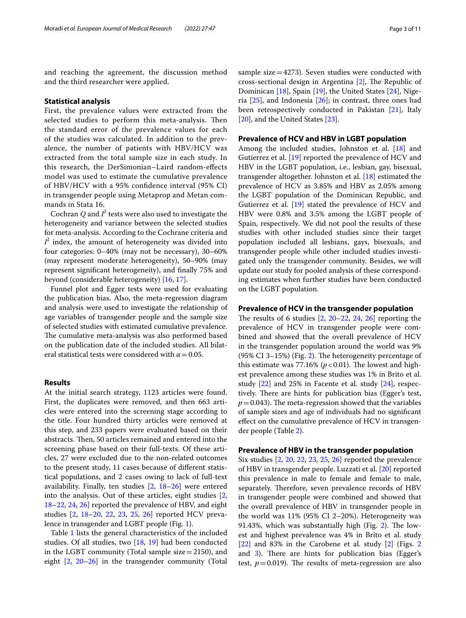and reaching the agreement, the discussion method and the third researcher were applied.

# **Statistical analysis**

First, the prevalence values were extracted from the selected studies to perform this meta-analysis. Then the standard error of the prevalence values for each of the studies was calculated. In addition to the prevalence, the number of patients with HBV/HCV was extracted from the total sample size in each study. In this research, the DerSimonian–Laird random-efects model was used to estimate the cumulative prevalence of HBV/HCV with a 95% confdence interval (95% CI) in transgender people using Metaprop and Metan commands in Stata 16.

Cochran  $Q$  and  $I^2$  tests were also used to investigate the heterogeneity and variance between the selected studies for meta-analysis. According to the Cochrane criteria and  $I^2$  index, the amount of heterogeneity was divided into four categories: 0–40% (may not be necessary), 30–60% (may represent moderate heterogeneity), 50–90% (may represent signifcant heterogeneity), and fnally 75% and beyond (considerable heterogeneity) [[16](#page-10-14), [17\]](#page-10-15).

Funnel plot and Egger tests were used for evaluating the publication bias. Also, the meta-regression diagram and analysis were used to investigate the relationship of age variables of transgender people and the sample size of selected studies with estimated cumulative prevalence. The cumulative meta-analysis was also performed based on the publication date of the included studies. All bilateral statistical tests were considered with  $\alpha$  = 0.05.

# **Results**

At the initial search strategy, 1123 articles were found. First, the duplicates were removed, and then 663 articles were entered into the screening stage according to the title. Four hundred thirty articles were removed at this step, and 233 papers were evaluated based on their abstracts. Then, 50 articles remained and entered into the screening phase based on their full-texts. Of these articles, 27 were excluded due to the non-related outcomes to the present study, 11 cases because of diferent statistical populations, and 2 cases owing to lack of full-text availability. Finally, ten studies [[2,](#page-10-1) [18–](#page-10-16)[26\]](#page-10-17) were entered into the analysis. Out of these articles, eight studies [\[2](#page-10-1), [18–](#page-10-16)[22](#page-10-18), [24,](#page-10-19) [26\]](#page-10-17) reported the prevalence of HBV, and eight studies [\[2](#page-10-1), [18](#page-10-16)–[20,](#page-10-20) [22,](#page-10-18) [23,](#page-10-21) [25](#page-10-22), [26](#page-10-17)] reported HCV prevalence in transgender and LGBT people (Fig. [1\)](#page-3-0).

Table [1](#page-4-0) lists the general characteristics of the included studies. Of all studies, two [\[18,](#page-10-16) [19](#page-10-23)] had been conducted in the LGBT community (Total sample size=2150), and eight [[2,](#page-10-1) [20–](#page-10-20)[26](#page-10-17)] in the transgender community (Total sample size $=4273$ ). Seven studies were conducted with cross-sectional design in Argentina  $[2]$  $[2]$ , The Republic of Dominican [\[18](#page-10-16)], Spain [\[19\]](#page-10-23), the United States [[24\]](#page-10-19), Nigeria [\[25](#page-10-22)], and Indonesia [[26](#page-10-17)]; in contrast, three ones had been retrospectively conducted in Pakistan [\[21](#page-10-24)], Italy [[20\]](#page-10-20), and the United States [[23](#page-10-21)].

#### **Prevalence of HCV and HBV in LGBT population**

Among the included studies, Johnston et al. [[18](#page-10-16)] and Gutierrez et al. [\[19\]](#page-10-23) reported the prevalence of HCV and HBV in the LGBT population, i.e., lesbian, gay, bisexual, transgender altogether. Johnston et al. [\[18\]](#page-10-16) estimated the prevalence of HCV as 3.85% and HBV as 2.05% among the LGBT population of the Dominican Republic, and Gutierrez et al. [[19\]](#page-10-23) stated the prevalence of HCV and HBV were 0.8% and 3.5% among the LGBT people of Spain, respectively. We did not pool the results of these studies with other included studies since their target population included all lesbians, gays, bisexuals, and transgender people while other included studies investigated only the transgender community. Besides, we will update our study for pooled analysis of these corresponding estimates when further studies have been conducted on the LGBT population.

#### **Prevalence of HCV in the transgender population**

The results of 6 studies  $[2, 20-22, 24, 26]$  $[2, 20-22, 24, 26]$  $[2, 20-22, 24, 26]$  $[2, 20-22, 24, 26]$  $[2, 20-22, 24, 26]$  $[2, 20-22, 24, 26]$  $[2, 20-22, 24, 26]$  reporting the prevalence of HCV in transgender people were combined and showed that the overall prevalence of HCV in the transgender population around the world was 9%  $(95\% \text{ CI } 3-15\%)$  (Fig. [2\)](#page-5-0). The heterogeneity percentage of this estimate was 77.16%  $(p < 0.01)$ . The lowest and highest prevalence among these studies was 1% in Brito et al. study [[22\]](#page-10-18) and 25% in Facente et al. study [[24\]](#page-10-19), respectively. There are hints for publication bias (Egger's test,  $p=0.043$ ). The meta-regression showed that the variables of sample sizes and age of individuals had no signifcant efect on the cumulative prevalence of HCV in transgender people (Table [2](#page-5-1)).

# **Prevalence of HBV in the transgender population**

Six studies [[2,](#page-10-1) [20,](#page-10-20) [22](#page-10-18), [23](#page-10-21), [25](#page-10-22), [26](#page-10-17)] reported the prevalence of HBV in transgender people. Luzzati et al. [[20\]](#page-10-20) reported this prevalence in male to female and female to male, separately. Therefore, seven prevalence records of HBV in transgender people were combined and showed that the overall prevalence of HBV in transgender people in the world was 11% (95% CI 2–20%). Heterogeneity was 91.43%, which was substantially high (Fig. [2\)](#page-5-0). The lowest and highest prevalence was 4% in Brito et al. study  $[22]$  $[22]$  and 83% in the Carobene et al. study  $[2]$  (Figs. [2](#page-5-0)) and  $3$ ). There are hints for publication bias (Egger's test,  $p = 0.019$ ). The results of meta-regression are also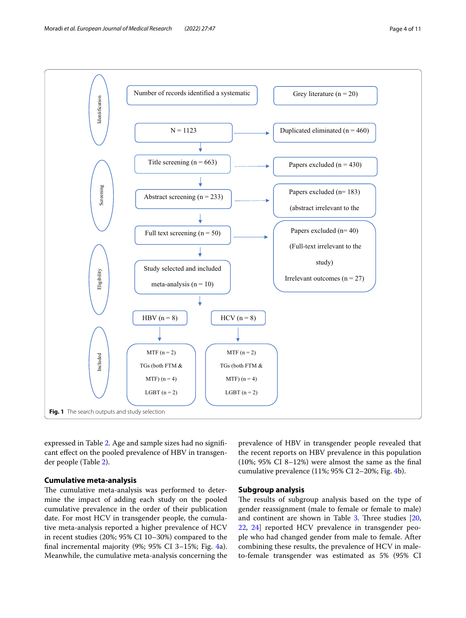

<span id="page-3-0"></span>expressed in Table [2.](#page-5-1) Age and sample sizes had no signifcant efect on the pooled prevalence of HBV in transgender people (Table [2\)](#page-5-1).

# **Cumulative meta‑analysis**

The cumulative meta-analysis was performed to determine the impact of adding each study on the pooled cumulative prevalence in the order of their publication date. For most HCV in transgender people, the cumulative meta-analysis reported a higher prevalence of HCV in recent studies (20%; 95% CI 10–30%) compared to the fnal incremental majority (9%; 95% CI 3–15%; Fig. [4a](#page-7-0)). Meanwhile, the cumulative meta-analysis concerning the prevalence of HBV in transgender people revealed that the recent reports on HBV prevalence in this population (10%; 95% CI 8–12%) were almost the same as the fnal cumulative prevalence (11%; 95% CI 2–20%; Fig. [4](#page-7-0)b).

# **Subgroup analysis**

The results of subgroup analysis based on the type of gender reassignment (male to female or female to male) and continent are shown in Table  $3$ . Three studies  $[20, 10]$  $[20, 10]$  $[20, 10]$ [22,](#page-10-18) [24](#page-10-19)] reported HCV prevalence in transgender people who had changed gender from male to female. After combining these results, the prevalence of HCV in maleto-female transgender was estimated as 5% (95% CI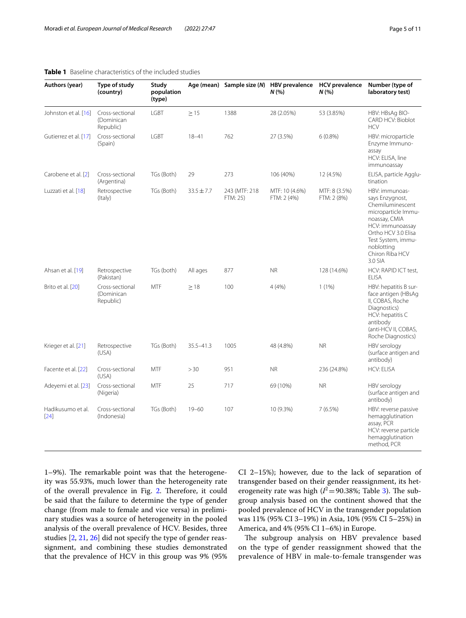### <span id="page-4-0"></span>**Table 1** Baseline characteristics of the included studies

| Authors (year)              | Type of study<br>(country)                 | Study<br>population<br>(type) |                | Age (mean) Sample size (N) | <b>HBV</b> prevalence<br>N (%) | <b>HCV</b> prevalence<br>N(% | Number (type of<br>laboratory test)                                                                                                                                                                        |
|-----------------------------|--------------------------------------------|-------------------------------|----------------|----------------------------|--------------------------------|------------------------------|------------------------------------------------------------------------------------------------------------------------------------------------------------------------------------------------------------|
| Johnston et al. [16]        | Cross-sectional<br>(Dominican<br>Republic) | <b>LGBT</b>                   | $\geq$ 15      | 1388                       | 28 (2.05%)                     | 53 (3.85%)                   | HBV: HBsAg BIO-<br>CARD HCV: Bioblot<br><b>HCV</b>                                                                                                                                                         |
| Gutierrez et al. [17]       | Cross-sectional<br>(Spain)                 | <b>LGBT</b>                   | $18 - 41$      | 762                        | 27 (3.5%)                      | $6(0.8\%)$                   | HBV: microparticle<br>Enzyme Immuno-<br>assay<br>HCV: ELISA, line<br>immunoassay                                                                                                                           |
| Carobene et al. [2]         | Cross-sectional<br>(Argentina)             | TGs (Both)                    | 29             | 273                        | 106 (40%)                      | 12 (4.5%)                    | ELISA, particle Agglu-<br>tination                                                                                                                                                                         |
| Luzzati et al. [18]         | Retrospective<br>(Italy)                   | TGs (Both)                    | $33.5 \pm 7.7$ | 243 (MTF: 218<br>FTM: 25)  | MTF: 10 (4.6%)<br>FTM: 2 (4%)  | MTF: 8 (3.5%)<br>FTM: 2 (8%) | HBV: immunoas-<br>says Enzygnost,<br>Chemiluminescent<br>microparticle Immu-<br>noassay, CMIA<br>HCV: immunoassay<br>Ortho HCV 3.0 Elisa<br>Test System, immu-<br>noblotting<br>Chiron Riba HCV<br>3.0 SIA |
| Ahsan et al. [19]           | Retrospective<br>(Pakistan)                | TGs (both)                    | All ages       | 877                        | <b>NR</b>                      | 128 (14.6%)                  | HCV: RAPID ICT test,<br><b>ELISA</b>                                                                                                                                                                       |
| Brito et al. [20]           | Cross-sectional<br>(Dominican<br>Republic) | <b>MTF</b>                    | >18            | 100                        | 4(4%)                          | $1(1\%)$                     | HBV: hepatitis B sur-<br>face antigen (HBsAg<br>II, COBAS, Roche<br>Diagnostics)<br>HCV: hepatitis C<br>antibody<br>(anti-HCV II, COBAS,<br>Roche Diagnostics)                                             |
| Krieger et al. [21]         | Retrospective<br>(USA)                     | TGs (Both)                    | $35.5 - 41.3$  | 1005                       | 48 (4.8%)                      | N <sub>R</sub>               | HBV serology<br>(surface antigen and<br>antibody)                                                                                                                                                          |
| Facente et al. [22]         | Cross-sectional<br>(USA)                   | <b>MTF</b>                    | > 30           | 951                        | <b>NR</b>                      | 236 (24.8%)                  | <b>HCV: ELISA</b>                                                                                                                                                                                          |
| Adeyemi et al. [23]         | Cross-sectional<br>(Nigeria)               | <b>MTF</b>                    | 25             | 717                        | 69 (10%)                       | N <sub>R</sub>               | HBV serology<br>(surface antigen and<br>antibody)                                                                                                                                                          |
| Hadikusumo et al.<br>$[24]$ | Cross-sectional<br>(Indonesia)             | TGs (Both)                    | $19 - 60$      | 107                        | 10 (9.3%)                      | 7(6.5%)                      | HBV: reverse passive<br>hemagglutination<br>assay, PCR<br>HCV: reverse particle<br>hemagglutination<br>method, PCR                                                                                         |

1-9%). The remarkable point was that the heterogeneity was 55.93%, much lower than the heterogeneity rate of the overall prevalence in Fig. [2](#page-5-0). Therefore, it could be said that the failure to determine the type of gender change (from male to female and vice versa) in preliminary studies was a source of heterogeneity in the pooled analysis of the overall prevalence of HCV. Besides, three studies [[2,](#page-10-1) [21](#page-10-24), [26\]](#page-10-17) did not specify the type of gender reassignment, and combining these studies demonstrated that the prevalence of HCV in this group was 9% (95% CI 2–15%); however, due to the lack of separation of transgender based on their gender reassignment, its heterogeneity rate was high  $(I^2 = 90.38\%;$  Table [3\)](#page-8-0). The subgroup analysis based on the continent showed that the pooled prevalence of HCV in the transgender population was 11% (95% CI 3–19%) in Asia, 10% (95% CI 5–25%) in America, and 4% (95% CI 1–6%) in Europe.

The subgroup analysis on HBV prevalence based on the type of gender reassignment showed that the prevalence of HBV in male-to-female transgender was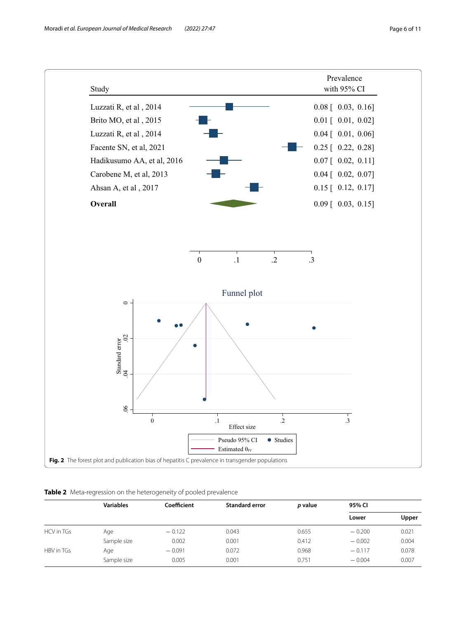

<span id="page-5-1"></span><span id="page-5-0"></span>

|            | <b>Variables</b> | Coefficient | <b>Standard error</b> | p value | 95% CI   |       |  |
|------------|------------------|-------------|-----------------------|---------|----------|-------|--|
|            |                  |             |                       |         | Lower    | Upper |  |
| HCV in TGs | Age              | $-0.122$    | 0.043                 | 0.655   | $-0.200$ | 0.021 |  |
|            | Sample size      | 0.002       | 0.001                 | 0.412   | $-0.002$ | 0.004 |  |
| HBV in TGs | Age              | $-0.091$    | 0.072                 | 0.968   | $-0.117$ | 0.078 |  |
|            | Sample size      | 0.005       | 0.001                 | 0.751   | $-0.004$ | 0.007 |  |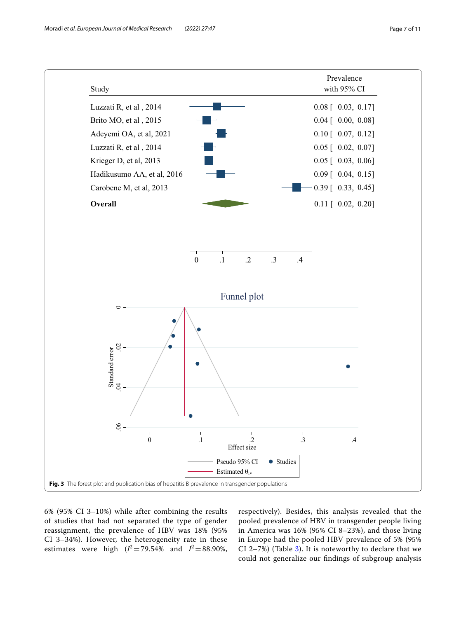

<span id="page-6-0"></span>6% (95% CI 3–10%) while after combining the results of studies that had not separated the type of gender reassignment, the prevalence of HBV was 18% (95% CI 3–34%). However, the heterogeneity rate in these estimates were high  $(I^2 = 79.54\%$  and  $I^2 = 88.90\%$ , respectively). Besides, this analysis revealed that the pooled prevalence of HBV in transgender people living in America was 16% (95% CI 8–23%), and those living in Europe had the pooled HBV prevalence of 5% (95% CI 2–7%) (Table [3](#page-8-0)). It is noteworthy to declare that we could not generalize our fndings of subgroup analysis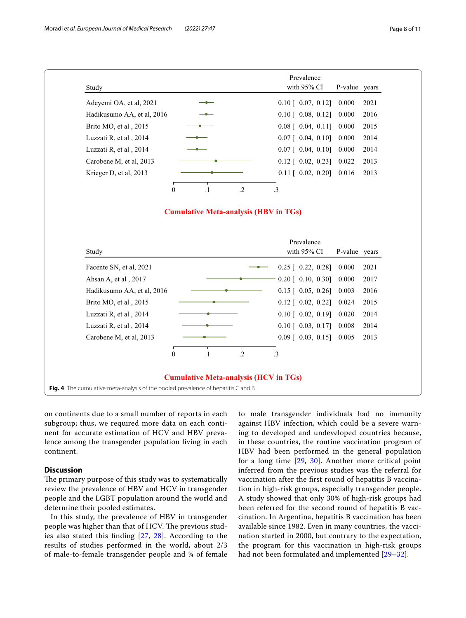| Study                      |              |         |                                              | Prevalence<br>with 95% CI        | P-value years  |                              |
|----------------------------|--------------|---------|----------------------------------------------|----------------------------------|----------------|------------------------------|
| Adeyemi OA, et al, 2021    |              |         |                                              | $0.10$ [ $0.07, 0.12$ ]          | 0.000          | 2021                         |
| Hadikusumo AA, et al, 2016 |              |         |                                              | $0.10$ [ $0.08$ , $0.12$ ]       | 0.000          | 2016                         |
| Brito MO, et al, 2015      |              |         |                                              | $0.08$ $[$ 0.04, 0.11]           | 0.000          | 2015                         |
| Luzzati R, et al , 2014    |              |         |                                              | $0.07$ [ 0.04, 0.10]             | 0.000          | 2014                         |
| Luzzati R, et al, 2014     |              |         |                                              | $0.07$ [ 0.04, 0.10]             | 0.000          | 2014                         |
| Carobene M, et al, 2013    |              |         |                                              | $0.12$ [ $0.02$ , 0.23]          | 0.022          | 2013                         |
| Krieger D, et al, 2013     |              |         |                                              | $0.11$ [ $0.02$ , $0.20$ ]       | 0.016          | 2013                         |
|                            | $\mathbf{0}$ | $\cdot$ | $\cdot$ .2                                   | $\cdot$ 3                        |                |                              |
|                            |              |         | <b>Cumulative Meta-analysis (HBV in TGs)</b> | Prevalence                       |                |                              |
| Study                      |              |         |                                              | with 95% CI                      | P-value years  |                              |
|                            |              |         |                                              |                                  |                |                              |
| Facente SN, et al, 2021    |              |         |                                              | $0.25$ [ 0.22, 0.28]             | 0.000          |                              |
| Ahsan A, et al, 2017       |              |         |                                              | $0.20$ [ 0.10, 0.30]             | 0.000          |                              |
| Hadikusumo AA, et al, 2016 |              |         |                                              | $0.15$ [ 0.05, 0.26]             | 0.003          |                              |
| Brito MO, et al, 2015      |              |         |                                              | $0.12$ [ $0.02$ , 0.22]          | 0.024          | 2021<br>2017<br>2016<br>2015 |
| Luzzati R, et al, 2014     |              |         |                                              | $0.10$ [ $0.02$ , $0.19$ ]       | 0.020          | 2014                         |
| Luzzati R, et al, 2014     |              |         |                                              | $0.10$ [ $0.03$ , $0.17$ ]       | 0.008<br>0.005 | 2014<br>2013                 |
| Carobene M, et al, 2013    | $\theta$     | $\cdot$ | $\cdot$ .2                                   | $0.09$ [ $0.03$ , $0.15$ ]<br>.3 |                |                              |

<span id="page-7-0"></span>on continents due to a small number of reports in each subgroup; thus, we required more data on each continent for accurate estimation of HCV and HBV prevalence among the transgender population living in each continent.

# **Discussion**

The primary purpose of this study was to systematically review the prevalence of HBV and HCV in transgender people and the LGBT population around the world and determine their pooled estimates.

In this study, the prevalence of HBV in transgender people was higher than that of HCV. The previous studies also stated this fnding [[27,](#page-10-25) [28\]](#page-10-26). According to the results of studies performed in the world, about 2/3 of male-to-female transgender people and ¾ of female to male transgender individuals had no immunity against HBV infection, which could be a severe warning to developed and undeveloped countries because, in these countries, the routine vaccination program of HBV had been performed in the general population for a long time [[29,](#page-10-27) [30](#page-10-28)]. Another more critical point inferred from the previous studies was the referral for vaccination after the frst round of hepatitis B vaccination in high-risk groups, especially transgender people. A study showed that only 30% of high-risk groups had been referred for the second round of hepatitis B vaccination. In Argentina, hepatitis B vaccination has been available since 1982. Even in many countries, the vaccination started in 2000, but contrary to the expectation, the program for this vaccination in high-risk groups had not been formulated and implemented [[29–](#page-10-27)[32](#page-10-29)].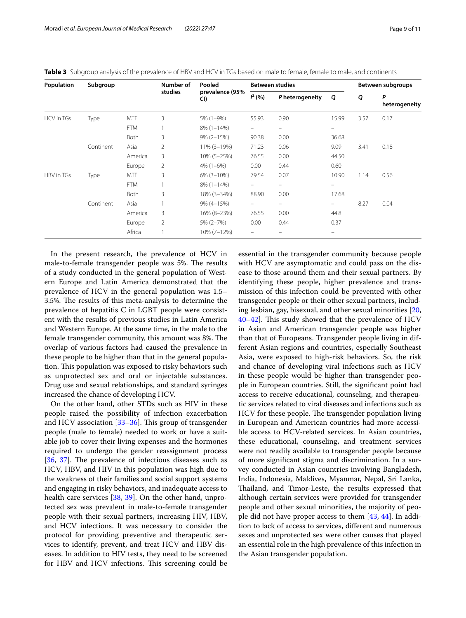<span id="page-8-0"></span>

| Population        | Subgroup  |            | Number of<br>studies | Pooled<br>prevalence (95%<br>CI) | <b>Between studies</b>   |                 |       | Between subgroups |                    |
|-------------------|-----------|------------|----------------------|----------------------------------|--------------------------|-----------------|-------|-------------------|--------------------|
|                   |           |            |                      |                                  | $I^2(%)$                 | P heterogeneity | Q     | Q                 | P<br>heterogeneity |
| <b>HCV</b> in TGs | Type      | MTF        | 3                    | 5% (1-9%)                        | 55.93                    | 0.90            | 15.99 | 3.57              | 0.17               |
|                   |           | <b>FTM</b> |                      | $8\%$ (1-14%)                    | -                        | -               | -     |                   |                    |
|                   |           | Both       | 3                    | $9\% (2 - 15\%)$                 | 90.38                    | 0.00            | 36.68 |                   |                    |
|                   | Continent | Asia       | $\overline{2}$       | 11% (3-19%)                      | 71.23                    | 0.06            | 9.09  | 3.41              | 0.18               |
|                   |           | America    | 3                    | 10% (5-25%)                      | 76.55                    | 0.00            | 44.50 |                   |                    |
|                   |           | Europe     | $\overline{2}$       | $4\%$ (1-6%)                     | 0.00                     | 0.44            | 0.60  |                   |                    |
| HBV in TGs        | Type      | <b>MTF</b> | 3                    | $6\%$ (3-10%)                    | 79.54                    | 0.07            | 10.90 | 1.14              | 0.56               |
|                   |           | <b>FTM</b> |                      | $8\%$ (1-14%)                    | -                        |                 | -     |                   |                    |
|                   |           | Both       | 3                    | 18% (3-34%)                      | 88.90                    | 0.00            | 17.68 |                   |                    |
|                   | Continent | Asia       |                      | 9% (4-15%)                       | -                        | -               | -     | 8.27              | 0.04               |
|                   |           | America    | 3                    | 16% (8-23%)                      | 76.55                    | 0.00            | 44.8  |                   |                    |
|                   |           | Europe     | $\overline{2}$       | 5% (2-7%)                        | 0.00                     | 0.44            | 0.37  |                   |                    |
|                   |           | Africa     |                      | $10\% (7 - 12\%)$                | $\overline{\phantom{0}}$ | -               | -     |                   |                    |

In the present research, the prevalence of HCV in male-to-female transgender people was 5%. The results of a study conducted in the general population of Western Europe and Latin America demonstrated that the prevalence of HCV in the general population was 1.5– 3.5%. The results of this meta-analysis to determine the prevalence of hepatitis C in LGBT people were consistent with the results of previous studies in Latin America and Western Europe. At the same time, in the male to the female transgender community, this amount was 8%. The overlap of various factors had caused the prevalence in these people to be higher than that in the general population. This population was exposed to risky behaviors such as unprotected sex and oral or injectable substances. Drug use and sexual relationships, and standard syringes increased the chance of developing HCV.

On the other hand, other STDs such as HIV in these people raised the possibility of infection exacerbation and HCV association  $[33-36]$  $[33-36]$  $[33-36]$ . This group of transgender people (male to female) needed to work or have a suitable job to cover their living expenses and the hormones required to undergo the gender reassignment process [[36,](#page-10-31) [37](#page-10-32)]. The prevalence of infectious diseases such as HCV, HBV, and HIV in this population was high due to the weakness of their families and social support systems and engaging in risky behaviors, and inadequate access to health care services [[38](#page-10-33), [39\]](#page-10-34). On the other hand, unprotected sex was prevalent in male-to-female transgender people with their sexual partners, increasing HIV, HBV, and HCV infections. It was necessary to consider the protocol for providing preventive and therapeutic services to identify, prevent, and treat HCV and HBV diseases. In addition to HIV tests, they need to be screened for HBV and HCV infections. This screening could be essential in the transgender community because people with HCV are asymptomatic and could pass on the disease to those around them and their sexual partners. By identifying these people, higher prevalence and transmission of this infection could be prevented with other transgender people or their other sexual partners, including lesbian, gay, bisexual, and other sexual minorities [[20](#page-10-20),  $40-42$  $40-42$ ]. This study showed that the prevalence of HCV in Asian and American transgender people was higher than that of Europeans. Transgender people living in different Asian regions and countries, especially Southeast Asia, were exposed to high-risk behaviors. So, the risk and chance of developing viral infections such as HCV in these people would be higher than transgender people in European countries. Still, the signifcant point had access to receive educational, counseling, and therapeutic services related to viral diseases and infections such as HCV for these people. The transgender population living in European and American countries had more accessible access to HCV-related services. In Asian countries, these educational, counseling, and treatment services were not readily available to transgender people because of more signifcant stigma and discrimination. In a survey conducted in Asian countries involving Bangladesh, India, Indonesia, Maldives, Myanmar, Nepal, Sri Lanka, Thailand, and Timor-Leste, the results expressed that although certain services were provided for transgender people and other sexual minorities, the majority of people did not have proper access to them [\[43](#page-10-37), [44](#page-10-38)]. In addition to lack of access to services, diferent and numerous sexes and unprotected sex were other causes that played an essential role in the high prevalence of this infection in the Asian transgender population.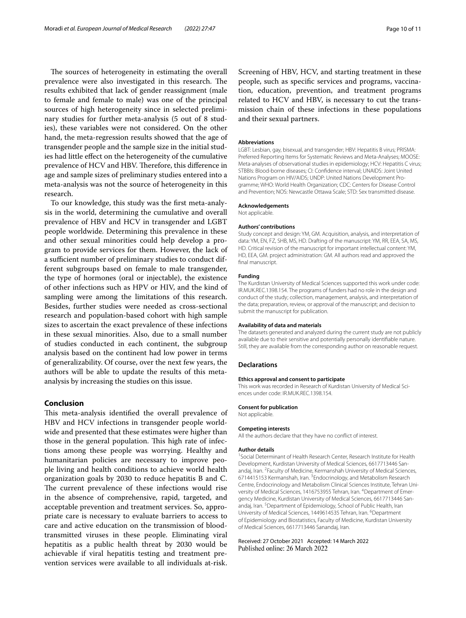The sources of heterogeneity in estimating the overall prevalence were also investigated in this research. The results exhibited that lack of gender reassignment (male to female and female to male) was one of the principal sources of high heterogeneity since in selected preliminary studies for further meta-analysis (5 out of 8 studies), these variables were not considered. On the other hand, the meta-regression results showed that the age of transgender people and the sample size in the initial studies had little efect on the heterogeneity of the cumulative prevalence of HCV and HBV. Therefore, this difference in age and sample sizes of preliminary studies entered into a meta-analysis was not the source of heterogeneity in this research.

To our knowledge, this study was the frst meta-analysis in the world, determining the cumulative and overall prevalence of HBV and HCV in transgender and LGBT people worldwide. Determining this prevalence in these and other sexual minorities could help develop a program to provide services for them. However, the lack of a sufficient number of preliminary studies to conduct different subgroups based on female to male transgender, the type of hormones (oral or injectable), the existence of other infections such as HPV or HIV, and the kind of sampling were among the limitations of this research. Besides, further studies were needed as cross-sectional research and population-based cohort with high sample sizes to ascertain the exact prevalence of these infections in these sexual minorities. Also, due to a small number of studies conducted in each continent, the subgroup analysis based on the continent had low power in terms of generalizability. Of course, over the next few years, the authors will be able to update the results of this metaanalysis by increasing the studies on this issue.

# **Conclusion**

This meta-analysis identified the overall prevalence of HBV and HCV infections in transgender people worldwide and presented that these estimates were higher than those in the general population. This high rate of infections among these people was worrying. Healthy and humanitarian policies are necessary to improve people living and health conditions to achieve world health organization goals by 2030 to reduce hepatitis B and C. The current prevalence of these infections would rise in the absence of comprehensive, rapid, targeted, and acceptable prevention and treatment services. So, appropriate care is necessary to evaluate barriers to access to care and active education on the transmission of bloodtransmitted viruses in these people. Eliminating viral hepatitis as a public health threat by 2030 would be achievable if viral hepatitis testing and treatment prevention services were available to all individuals at-risk. Screening of HBV, HCV, and starting treatment in these people, such as specifc services and programs, vaccination, education, prevention, and treatment programs related to HCV and HBV, is necessary to cut the transmission chain of these infections in these populations and their sexual partners.

#### **Abbreviations**

LGBT: Lesbian, gay, bisexual, and transgender; HBV: Hepatitis B virus; PRISMA: Preferred Reporting Items for Systematic Reviews and Meta-Analyses; MOOSE: Meta-analyses of observational studies in epidemiology; HCV: Hepatitis C virus; STBBIs: Blood-borne diseases; CI: Confdence interval; UNAIDS: Joint United Nations Program on HIV/AIDS; UNDP: United Nations Development Programme; WHO: World Health Organization; CDC: Centers for Disease Control and Prevention; NOS: Newcastle Ottawa Scale; STD: Sex transmitted disease.

#### **Acknowledgements**

Not applicable.

#### **Authors' contributions**

Study concept and design: YM, GM. Acquisition, analysis, and interpretation of data: YM, EN, FZ, SHB, MS, HD. Drafting of the manuscript: YM, RR, EEA, SA, MS, HD. Critical revision of the manuscript for important intellectual content: YM, HD, EEA, GM. project administration: GM. All authors read and approved the final manuscript.

#### **Funding**

The Kurdistan University of Medical Sciences supported this work under code: IR.MUK.REC.1398.154. The programs of funders had no role in the design and conduct of the study; collection, management, analysis, and interpretation of the data; preparation, review, or approval of the manuscript; and decision to submit the manuscript for publication.

#### **Availability of data and materials**

The datasets generated and analyzed during the current study are not publicly available due to their sensitive and potentially personally identifable nature. Still, they are available from the corresponding author on reasonable request.

#### **Declarations**

#### **Ethics approval and consent to participate**

This work was recorded in Research of Kurdistan University of Medical Sciences under code: IR.MUK.REC.1398.154.

#### **Consent for publication**

Not applicable.

#### **Competing interests**

All the authors declare that they have no confict of interest.

#### **Author details**

<sup>1</sup> Social Determinant of Health Research Center, Research Institute for Health Development, Kurdistan University of Medical Sciences, 6617713446 Sanandaj, Iran. <sup>2</sup> Faculty of Medicine, Kermanshah University of Medical Sciences, 6714415153 Kermanshah, Iran. <sup>3</sup> Endocrinology, and Metabolism Research Centre, Endocrinology and Metabolism Clinical Sciences Institute, Tehran University of Medical Sciences, 1416753955 Tehran, Iran. <sup>4</sup> Department of Emergency Medicine, Kurdistan University of Medical Sciences, 6617713446 Sanandaj, Iran. <sup>5</sup> Department of Epidemiology, School of Public Health, Iran University of Medical Sciences, 1449614535 Tehran, Iran. <sup>6</sup>Department of Epidemiology and Biostatistics, Faculty of Medicine, Kurdistan University of Medical Sciences, 6617713446 Sanandaj, Iran.

Received: 27 October 2021 Accepted: 14 March 2022Published online: 26 March 2022